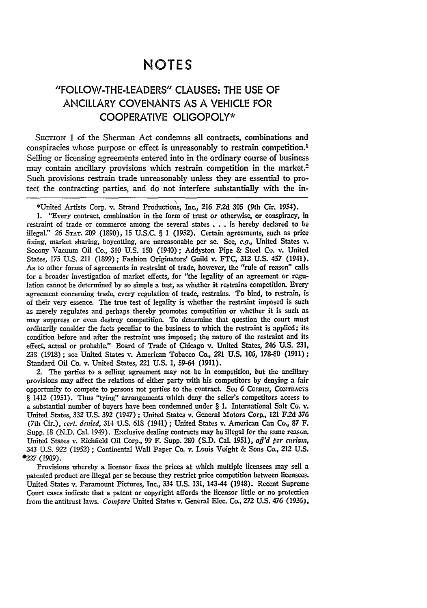## **NOTES**

## "FOLLOW-THE-LEADERS" **CLAUSES:** THE **USE** OF ANCILLARY **COVENANTS AS A VEHICLE** FOR COOPERATIVE OLIGOPOLY\*

SECTION 1 of the Sherman Act condemns all contracts, combinations and conspiracies whose purpose or effect is unreasonably to restrain competition.' Selling or licensing agreements entered into in the ordinary course of business may contain ancillary provisions which restrain competition in the market.<sup>2</sup> Such provisions restrain trade unreasonably unless they are essential to protect the contracting parties, and do not interfere substantially with the in-

\*United Artists Corp. v. Strand Productions, Inc., **216 F.2d 305** (9th Cir. 1954).

**1.** "Every contract, combination in the form of trust or otherwise, or conspiracy, in restraint of trade or commerce among the several states **. . .** is hereby declared to **be** illegal." **26 STAT. 209 (1890), 15 U.S.C.** § **1 (1952).** Certain agreements, such as price fixing, market sharing, boycotting, are unreasonable per se. See, e.g., United States v. Socony Vacuum Oil Co., **310 U.S. 150** (1940); Addyston Pipe & Steel Co. **v.** United States, **175 U.S.** 211 **(1899)** ; Fashion Originators' Guild v. FTC, **312 U.S.** 457 (1941). As to other forms of agreements in restraint of trade, however, the "rule of reason" calls for a broader investigation of market effects, for "the legality of an agreement or regulation cannot be determined **by** so simple a test, as whether it restrains competition. Every agreement concerning trade, every regulation of trade, restrains. To bind, to restrain, is of their very essence. The true test of legality is whether the restraint imposed is such as merely regulates and perhaps thereby promotes competition or whether it is such as may suppress or even destroy competition. To determine that question the court must ordinarily consider the facts peculiar to the business to which the restraint is applied; its condition before and after the restraint was imposed; the nature of the restraint and its effect, actual or probable." Board of Trade of Chicago v. United States, 246 **U.S. 231, 238 (1918);** see United States **v.** American Tobacco **Co.,** 221 **U.S.** *106,* **178-0 (1911);** Standard Oil Co. v. United States, 221 **U.S. 1,** 59-64 **(1911).**

2. The parties to a selling agreement may not be in competition, but the ancillary provisions may affect the relations of either party with his competitors by denying a fair opportunity to compete to persons not parties to the contract. See 6 CORBIN, CONTRACTS § 1412 (1951). Thus "tying" arrangements which deny the seller's competitors access to a substantial number of buyers have been condemned under § **1.** International Salt Co. v. United States, **332** U.S. **392** (1947) **;** United States v. General Motors Corp., 121 F2d **376** (7th Cir.), *cert. denied,* 314 U.S. 618 (1941) **;** United States v. American Can Co., **87** F. Supp. 18 (N.D. Cal. 1949). Exclusive dealing contracts may be illegal for the **same** reason. United States v. Richfield Oil Corp., 99 F. Supp. 280 (S.D. Cal. 1951), *aff'd per curiam,* 343 U.S. 922 (1952); Continental Wall Paper Co. **v.** Louis Voight & Sons Co., 212 U.S. **227** (1909).

Provisions whereby a licensor fixes the prices at which multiple licensees may sell a patented product are illegal per se because they restrict price competition between licensees. United States v. Paramount Pictures, Inc., 334 U.S. **131,** 143-44 (1948). Recent Supreme Court cases indicate that a patent or copyright affords the licensor little or no protection from the antitrust laws. *Compare* United States v. General Elec. Co., *272* U.S. 476 (1926),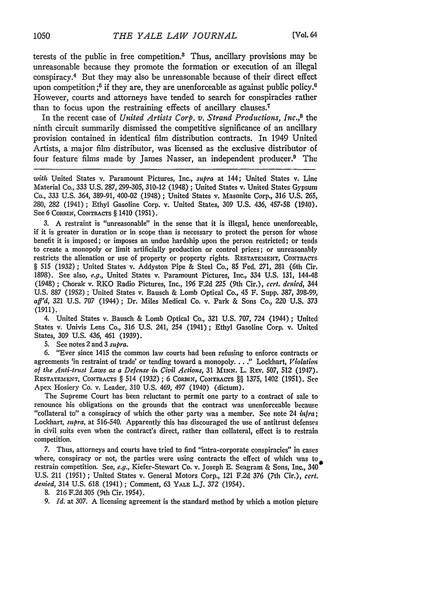terests of the public in free competition.<sup>3</sup> Thus, ancillary provisions may be unreasonable because they promote the formation or execution of an illegal conspiracy.<sup>4</sup> But they may also be unreasonable because of their direct effect upon competition *;5* if they are, they are unenforceable as against public policy." However, courts and attorneys have tended to search for conspiracies rather than to focus upon the restraining effects of ancillary clauses.'

In the recent case of *United Artists Corp. v. Strand Productions, Inc.*,<sup>8</sup> the ninth circuit summarily dismissed the competitive significance of an ancillary provision contained in identical film distribution contracts. In 1949 United Artists, a major film distributor, was licensed as the exclusive distributor of four feature films made by James Nasser, an independent producer.9 **The**

*with* United States v. Paramount Pictures, Inc., *supra* at 144; United States v. Line Material Co., 333 U.S. 287, 299-305, 310-12 (1948) ; United States v. United States Gypsum Co., 333 U.S. 364, 389-91, 400-02 (1948) ; United States v. Masonite Corp., 316 U.S. 265, 280, 282 (1941); Ethyl Gasoline Corp. v. United States, 309 U.S. '136, 457-58 (1940). See 6 CORBIN, CONTRACTS § 1410 (1951).

3. **A** restraint is "unreasonable" in the sense that it is illegal, hence unenforceable, if it is greater in duration or in scope than is necessary to protect the person for whose benefit it is imposed; or imposes an undue hardship upon the person restricted; or tends to create a monopoly or limit artificially production or control prices; or unreasonably restricts the alienation or use of property or property rights. RESTATEMENT, CONTRACTS § 515 (1932); United States v. Addyston Pipe & Steel Co., **85** Fed. 271, 281 (6th Cir. 1898). See also, *e.g.,* United States v. Paramount Pictures, Inc., 334 U.S. 131, 144-48 (1,948) ; Chorak v. RKO Radio Pictures, Inc., 196 F.2d **225** (9th Cir.), *cert. denied* 344 U.S. 887 (1952) ; United States v. Bausch & Lomb Optical Co., 45 F. Supp. 387, 398-99, *aff'd,* **321** U.S. **707** (1944); Dr. Miles Medical Co. v. Park & Sons Co., 220 U.S. 373 (1911).

4. United States v. Bausch & Lomb Optical Co., 321 U.S. 707, 724 (1944) ; United States v. Univis Lens Co., 316 U.S. 241, 254 (1941); Ethyl Gasoline Corp. v. United States, 309 U.S. 436, 461 (1939).

5. See notes 2 and 3 *supra.*

6. "Ever since 1415 the common law courts had been refusing to enforce contracts or agreements 'in restraint of trade' or tending toward a monopoly. .. ." Lockhart, *Violation* of the Anti-trust Laws as a Defense in Civil Actions, 31 MINN. L. REV. 507, 512 (1947). **RESTATEMENT, CONTRACTS** § 514 (1932) ; **6** CORBIN, CONTRACTS §§ **1375,** 1402 (1951). **See** Apex Hosiery Co. v. Leader, 310 U.S. 469, 497 (1940) (dictum).

The Supreme Court has been reluctant to permit one party to a contract of sale to renounce his obligations on the grounds that the contract was unenforceable because "collateral to" a conspiracy of which the other party was a member. See note 24 *infra;* Lockhart, *supra,* at **516-540.** Apparently this has discouraged the use of antitrust defenses in civil suits even when the contract's direct, rather than collateral, effect is to restrain competition.

**7.** Thus, attorneys and courts have tried to find "intra-corporate conspiracies" in cases where, conspiracy or not, the parties were using contracts the effect of which was to restrain competition. See, *e.g.,* Kiefer-Stewart Co. v. Joseph **E.** Seagram & Sons, Inc., 340 **U.S.** 211 **(1951)** ; United States v. General Motors Corp., 121 **F.2d 376** (7th Cir.), *cert. denied,* 314 **U.S. 618** (1941) ; Comment, **63** YALE L.J. **372** (1954).

**8. 216 F.2d 305** (9th Cir. 1954).

**9.** *Id.* at **307. A** licensing agreement is the standard method **by** which a motion picture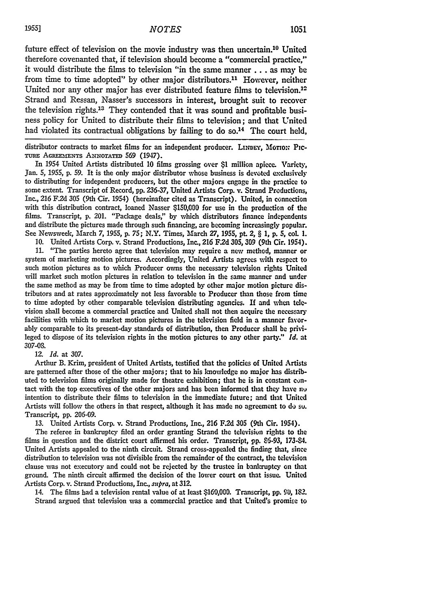future effect of television on the movie industry was then uncertain.10 United therefore covenanted that, if television should become a "commercial practice," it would distribute the films to television "in the same manner **...** as may be from time to time adopted" by other major distributors.<sup>11</sup> However, neither United nor any other major has ever distributed feature films to television.<sup>12</sup> Strand and Ressan, Nasser's successors in interest, brought suit to recover the television rights.<sup>13</sup> They contended that it was sound and profitable business policy for United to distribute their films to television; and that United had violated its contractual obligations by failing to do so.<sup>14</sup> The court held,

distributor contracts to market films for an independent producer. LINDEY, MOTION PIC-TURE AGREEMENTS ANNOTATED 569 (1947).

In 1954 United Artists distributed **10** films grossing over \$1 million apiece. Variety, Jan. **5, 1955, p. 59.** It is the only major distributor whose business is devoted exclusively to distributing for independent producers, but the other majors engage in the practice to some extent. Transcript of Record, pp. 236-37, United Artists Corp. v. Strand Productions, Inc., 216 F.2d 305 (9th Cir. 1954) (hereinafter cited as Transcript). United, in connection with this distribution contract, loaned Nasser \$150,000 for use in the production of the films. Transcript, p. 201. "Package deals," by which distributors finance independents and distribute the pictures made through such financing, are becoming increasingly popular. See Newsweek, March **7,** 1955, p. 75; N.Y. Times, March **27, 1955,** pt. 2, § **1,** p. **5,** col. 1.

10. United Artists Corp. v. Strand Productions, Inc., 216 F2d 305, **309** (9th Cir. 1954). 11. "The parties hereto agree that television may require a new method, manner or system of marketing motion pictures. Accordingly, United Artists agrees with respect to such motion pictures as to which Producer owns the necessary television rights United will market such motion pictures in relation to television in the same manner and under the same method as may be from time to time adopted by other major motion picture distributors and at rates approximately not less favorable to Producer than those from time to time adopted by other comparable television distributing agencies. If and when television shall become a commercial practice and United shall not then acquire the necessary facilities with which to market motion pictures in the television field in a manner favorably comparable to its present-day standards of distribution, then Producer shall be privileged to dispose of its television rights in the motion pictures to any other party." *Id.* at **307-08.**

*12. Id.* at 307.

Arthur B. Krim, president of United Artists, testified that the policies of United Artists are patterned after those of the other majors; that to his knowledge no major has distributed to television films originally made for theatre exhibition; that he is in constant contact with the top executives of the other majors and has been informed that they have nu intention to distribute their films to television in the immediate future; and that United Artists will follow the others in that respect, although it has made no agreement to do su. Transcript, pp. 206-09.

13. United Artists Corp. v. Strand Productions, Inc., **216** F.2d 305 (9th Cir. 1954).

The referee in bankruptcy filed an order granting Strand the televisiun rights to the films in question and the district court affirmed his order. Transcript, **pp.** 86-93, 173.84. United Artists appealed to the ninth circuit. Strand cross-appealed the finding that, since distribution to television was not divisible from the remainder of the contract, the television clause was not executory and could not be rejected by the trustee in bankruptcy on that ground. The ninth circuit affirmed the decision of the lower court on that issue. United Artists Corp. v. Strand Productions, Inc., *supra,* at 312.

14. The films had a television rental value of at least \$160,000. Transcript, pp. *90,* 182. Strand argued that television was a commercial practice and that United's promise to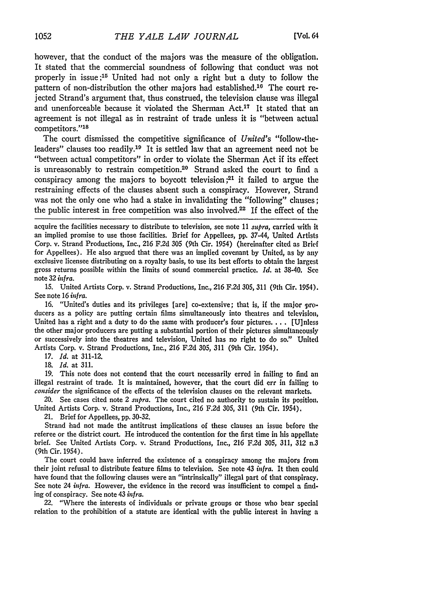however, that the conduct of the majors was the measure of the obligation. It stated that the commercial soundness of following that conduct was not properly in issue **;15** United had not only a right but a duty to follow the pattern of non-distribution the other majors had established.<sup>10</sup> The court rejected Strand's argument that, thus construed, the television clause was illegal and unenforceable because it violated the Sherman Act.<sup>17</sup> It stated that an agreement is not illegal as in restraint of trade unless it is "between actual competitors."<sup>18</sup>

The court dismissed the competitive significance of *United's* "follow-theleaders" clauses too readily.<sup>19</sup> It is settled law that an agreement need not be "between actual competitors" in order to violate the Sherman Act if its effect is unreasonably to restrain competition.<sup>20</sup> Strand asked the court to find a conspiracy among the majors to boycott television;<sup>21</sup> it failed to argue the restraining effects of the clauses absent such a conspiracy. However, Strand was not the only one who had a stake in invalidating the "following" clauses: the public interest in free competition was also involved.<sup>22</sup> If the effect of the

acquire the facilities necessary to distribute to television, see note 11 *supra,* carried with It an implied promise to use those facilities. Brief for Appellees, pp. 37-44, United Artists Corp. v. Strand Productions, Inc., **216** F.2d **305** (9th Cir. 1954) (hereinafter cited as Brief for Appellees). He also argued that there was an implied covenant by United, as by any exclusive licensee distributing on a royalty basis, to use its best efforts to obtain the largest gross returns possible within the limits of sound commercial practice. *Id.* at 38-40. *See* note 32 *infra.*

15. United Artists Corp. v. Strand Productions, Inc., 216 F.2d **305,** 311 (9th Cir. 1954). See note **16** *infra.*

16. "United's duties and its privileges [are] co-extensive; that is, if the major producers as a policy are putting certain films simultaneously into theatres and television, United has a right and a duty to do the same with producer's four pictures **....** [U]nles the other major producers are putting a substantial portion of their pictures simultaneously or successively into the theatres and television, United has no right to do so." United Artists Corp. v. Strand Productions, Inc., **216** F.2d **305,** 311 (9th Cir. 1954).

17. *Id.* at 311-12.

18. *Id.* at 311.

**19.** This note does not contend that the court necessarily erred in failing to find an illegal restraint of trade. It is maintained, however, that the court did err in failing to *consider* the significance of the effects of the television clauses on the relevant markets.

20. See cases cited note 2 *supra.* The court cited no authority to sustain its position, United Artists Corp. v. Strand Productions, Inc., 216 F.2d 305, 311 (9th Cir. 1954).

21. Brief for Appellees, pp. 30-32.

Strand had not made the antitrust implications of these clauses an issue before the referee or the district court. He introduced the contention for the first time in his appellate brief. See United Artists Corp. v. Strand Productions, Inc., **216** F.2d 305, 311, **312** n.3 (9th Cir. 1954).

The court could have inferred the existence of a conspiracy among the majors from their joint refusal to distribute feature films to television. See note 43 *infra.* It then could have found that the following clauses were an "intrinsically" illegal part of that conspiracy. See note 24 *infra.* However, the evidence in the record was insufficient to compel a finding of conspiracy. See note 43 *infra*.

22. "Where the interests of individuals or private groups or those who bear special relation to the prohibition of a statute are identical with the public interest in having a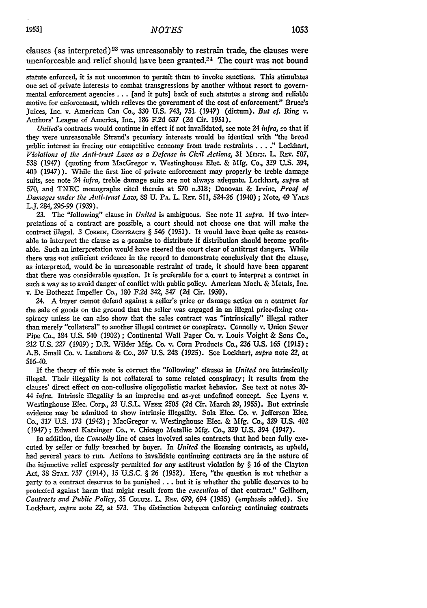clauses (as interpreted)<sup>23</sup> was unreasonably to restrain trade, the clauses were unenforceable and relief should have been granted. $24$  The court was not bound

statute enforced, it is not uncommon to permit them to invoke sanctions. This stimulates one set of private interests to combat transgressions by another without resort to governmental enforcement agencies... [and it puts] back of such statutes a strong and reliable motive for enforcement, which relieves the government of the cost of enforcement." Bruce's Juices, Inc. v. American Can Co., 330 U.S. 743, *751.* (1947) (dictum). **But** *cf.* Ring **v.** Authors' League of America, Inc., **186** F.2d 637 (2d Cir. 1951).

*Uniteds* contracts would continue in effect if not invalidated, see note 24 *infra,* so that if they were unreasonable Strand's pecuniary interests would be identical with "the broad public interest in freeing our competitive economy from trade restraints...." Lockhart, *Violations of the Anti-trust Laws as a Defense in Civil Actions, 31 Mnn:. L. REV. 507,* 538 (1947) (quoting from MacGregor v. Westinghouse Elec. & **Mfg.** Co., *329* **U.S.** 394, 400 (1947)). While the first line of private enforcement may properly **be** treble damage suits, see note 24 *infra,* treble damage suits are not always adequate. Lockhart, *mspra* at **570,** and TNEC monographs cited therein at **570** n.318; Donovan & Irvine, *Proof of Damages under the Anti-trust Law,* **88 U.** PA. L Rxv. 511, 524-26 (1940) **;** Note, 49 YALE L.J. 284,296-99 (1939).

**23.** The "following" clause in *United* is ambiguous. See note **11** *supra.* **If** two interpretations of a contract are possible, a court should not choose one that will make the contract illegal. 3 CORBIN, CONTRACTS § 546 (1951). It would have been quite as reasonable to interpret the clause as a promise to distribute if distribution should become profitable. Such an interpretation would have steered the court clear of antitrust dangers. While there was not sufficient evidence in the record to demonstrate conclusively that the clause, as interpreted, would be in unreasonable restraint of trade, it should have been apparent that there was considerable question. It is preferable for a court to interpret a contract in such a way as to avoid danger of conflict with public policy. American Mach. & Metals, Inc. v. De Bothezat Impeller Co., **180 F.2d 342,** 347 **(2d** Cir. **1950).**

24. **A** buyer cannot defend against a seller's price or damage action on a contract for the sale of goods on the ground that the seller was engaged in an illegal price-fixing conspiracy unless he can also show that the sales contract was "intrinsically" illegal rather than merely "collateral" to another illegal contract or conspiracy. Connolly v. Union Sewer Pipe Co., 184 **U.S.** 540 (1902) **;** Continental Wall Paper Co. v. Louis Voight & Sons Co., 212 U.S. **227 (1909) ;** D.R. Wilder **Mfg.** Co. v. Corn Products Co., **236** U.S. **165** (1915); A.B. Small Co. v. Lamborn & Co., **267** U.S. 248 (1925). See Lockhart, *supra* note 22, at 516-40.

If the theory of this note is correct the "following" clauses in *United* are intrinsically illegal. Their illegality is not collateral to some related conspiracy; it results from the clauses' direct effect on non-collusive oligopolistic market behavior. See text at notes **30-** *44 infra.* Intrinsic illegality is an imprecise and as-yet undefined concept. See Lyons **v.** Westinghouse Elec. Corp., 23 U.S.L. **WEK 2505 (2d** Cir. March **29,** 1955). But extrinsic evidence may be admitted to show intrinsic illegality. Sola Elec. Co. **v.** Jefferson **Elec.** Co., 317 U.S. 173 (1942); MacGregor v. Westinghouse Elec. & **Mfg.** Co., 329 **U.S.** 402 (1947) **;** Edward Katzinger Co., v. Chicago Metallic **Mfg.** Co., 329 **U.S.** 394 (1947).

In addition, the *Connolly* line of cases involved sales contracts that had been fully executed by seller or fully breached by buyer. In *Unitcd* the licensing contracts, as upheld, had several years to run. Actions to invalidate continuing contracts are in the nature of the injunctive relief expressly permitted for any antitrust violation by § 16 of the Clayton Act, **38** STAT. 737 (1914), 15 U.S.C. § **26** (1952). Here, "the question is **nut** whether a party to a contract deserves to be punished **...** but it is whether the public deserves to be protected against harm that might result from the *execution* of that contract." Gellhorn, *Contracts and Public Policy,* 35 CoLum. L. REv. 679, 694 (1935) (emphasis added). See Lodchart, *supra* note *22,* at 573. The distinction between enforcing continuing contracts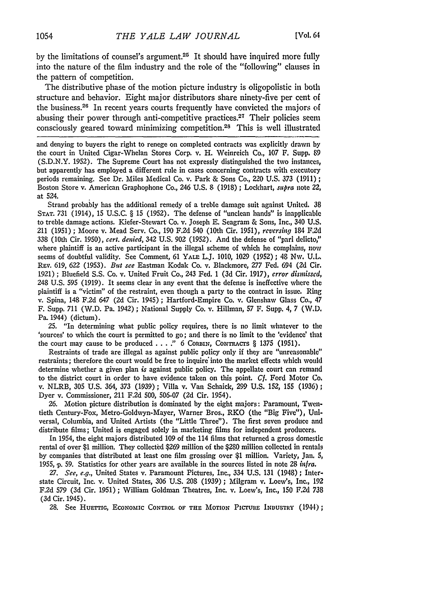by the limitations of counsel's argument.<sup>25</sup> It should have inquired more fully into the nature of the film industry and the role of the "following" clauses in the pattern of competition.

The distributive phase of the motion picture industry is oligopolistic in both structure and behavior. Eight major distributors share ninety-five per cent of the business.<sup>26</sup> In recent years courts frequently have convicted the majors of abusing their power through anti-competitive practices.<sup>27</sup> Their policies seem consciously geared toward minimizing competition.<sup>28</sup> This is well illustrated

and denying to buyers the right to renege on completed contracts was explicitly drawn by the court in United Cigar-Whelan Stores Corp. v. H. Weinreich Co., 107 F. Supp. 89 (S.D.N.Y. 1952). The Supreme Court has not expressly distinguished the two instances, but apparently has employed a different rule in cases concerning contracts with executory periods remaining. See Dr. Miles Medical Co. v. Park & Sons Co., 220 **U.S. 373** (1911) **;** Boston Store v. American Graphophone Co., 246 U.S. **8** (1918) **;** Lockhart, supra note 22, at 524.

Strand probably has the additional remedy of a treble damage suit against United. 38 **STAT.** 731 (1914), 15 U.S.C. § 15 (1952). The defense of "unclean hands" is inapplicable to treble damage actions. Kiefer-Stewart Co. v. Joseph E. Seagram & Sons, Inc., 340 U.S. 211 (1951) ; Moore v. Mead Serv. Co., **190** F.2d 540 (10th Cir. 1951), reversing 184 **F.2d** 338 (10th Cir. 1950), cert. denied, 342 U.S. 902 (1952). And the defense of "pari delicto," where plaintiff is an active participant in the illegal scheme of which he complains, now seems of doubtful validity. See Comment, 61 **YALE** L.J. **1010, 1029** (1952); 48 Nw. **U.L.** Rav. 619, **622** (1953). *But see* Eastman Kodak Co. v. Blackmore, **277** Fed. 694 **(2d** Cir. 1921) **;** Bluefield S.S. Co. v. United Fruit Co., 243 Fed. 1 **(3d** Cir. 1917), *error dismissed,* 248 U.S. 595 (1919). It seems clear in any event that the defense is ineffective where the plaintiff is a "victim" of the restraint, even though a party to the contract in issue. Ring v. Spina, 148 **F.2d** 647 **(2d** Cir. 1945) **;** Hartford-Empire Co. v. Glenshaw Glass Co., 47 F. Supp. 711 (W.D. Pa. 1942) **;** National Supply Co. v. Hillman, **57** F. Supp. 4, 7 (W.D. Pa. 1944) (dictum).

**25.** "In determining what public policy requires, there is no limit whatever to the 'sources' to which the court is permitted to go; and there is no limit to the 'evidence' that the court may cause to be produced . **. . ."** 6 **CORBIN,** CONTRACTS § 1375 (1951).

Restraints of trade are illegal as against public policy only if they are "unreasonable" restraints; therefore the court would be free to inquire' into the market effects which would determine whether a given plan *is* against public policy. The appellate court can remand to the district court in order to have evidence taken on this point. *Cf.* Ford Motor Co. v. NLRB, **305** U.S. 364, **373** (1,939) **;** Villa v. Van Schaick, 299 U.S. 152, 155 (1936); Dyer v. Commissioner, 211 **F.2d** 500, 506-07 **(2d** Cir. 1954).

**26.** Motion picture distribution is dominated **by** the eight majors: Paramount, Twentieth Century-Fox, Metro-Goldwyn-Mayer, Warner Bros., RKO (the "Big Five"), Universal, Columbia, and United Artists (the "Little Three"). The first seven produce and distribute films; United is engaged solely in marketing films for independent producers.

In 1954, the eight majors distributed 109 of the 114 films that returned a gross domestic rental of over \$1 million. They collected **\$269** million of the \$280 million collected in rentals **by** companies that distributed at least one film grossing over \$1 million. Variety, Jan. 5, 1955, **). 59.** Statistics for other years are available in the sources listed in note 28 *in!ra.*

*27. See, e.g.,* United States v. Paramount Pictures, Inc., 334 U.S. 131 (1948) **;** Interstate Circuit, Inc. v. United States, **306** U.S. 208 (1939); Milgram v. Loew's, Inc., **192** F.2d **579 (3d** Cir. 1951) ; William Goldman Theatres, Inc. v. Loew's, Inc., **150** F.2d 738 (3d Cir. 1945).

28. See Huettig, ECONOMIC CONTROL OF THE MOTION PICTURE INDUSTRY (1944);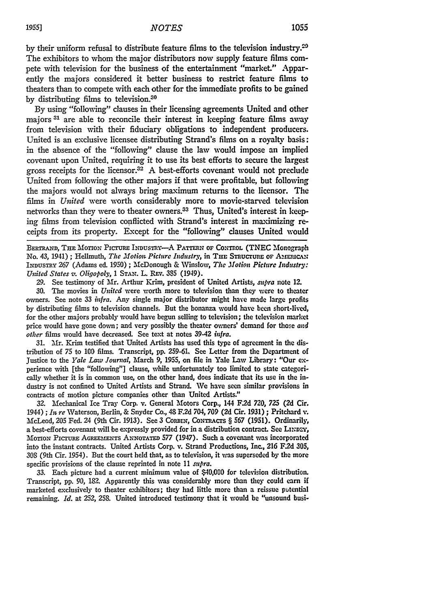By using "following" clauses in their licensing agreements United and other majors **31** are able to reconcile their interest in keeping feature films away from television with their fiduciary obligations to independent producers. United is an exclusive licensee distributing Strand's films on a royalty basis; in the absence of the "following" clause the law would impose an implied covenant upon United, requiring it to use its best efforts to secure the largest gross receipts for the licensor.<sup>32</sup> A best-efforts covenant would not preclude United from following the other majors if that were profitable, but following the majors would not always bring maximum returns to the licensor. The films in *United* were worth considerably more to move-starved television networks than they were to theater owners. <sup>3</sup> 3 Thus, United's interest in **keep**ing films from television conflicted with Strand's interest in maximizing receipts from its property. Except for the "following" clauses United would

BERTRAND, THE MOTION PICTURE INDUSTRY-A PATTERN OF CONTROL (TNEC Monograph No. 43, 1941) ; Hellmuth, *The Motion Picture Industry*, in THE STRUCTURE OF AMERICAN **INDUSTRY** *267* (Adams ed. **1950)** ; McDonough & Winslow, **The** *Motion Picture Industry: United States v. Oligopoly,* 1 **STAN.** L. REv. 385 (1949).

**29.** See testimony of Mr. Arthur Krim, president of United Artists, *supra* note 12.

**30.** The movies in *United* were worth more to television than they were to theater owners. See note 33 *infra.* Any single major distributor might have made large profits by distributing films to television channels. But the bonanza would have been short-lived, for the other majors probably would have begun selling to television; the television market price would have gone down; and very possibly the theater owners' demand for those *and other* films would have decreased. See text at notes 39-42 *infra.*

**31.** Mr. Krim testified that United Artists has used this type of agreement in the distribution of 75 to **100** films. Transcript, **pp. 259-61,** See Letter from the Department of Justice to the *Yale Law Journal,* March 9, 1955, on file in Yale Law Library: "Our experience with [the "following"] clause, while unfortunately too limited to state categorically whether it is in common use, on the other hand, does indicate that its use in the industry is not confined to United Artists and Strand. We have seen similar provisions in contracts of motion picture companies other than United Artists."

**32.** Mechanical Ice Tray Corp. v. General Motors Corp., 144 F.2d **720, 725 (2d** Cir. 1944) ; *In* re Waterson, Berlin, & Snyder Co., 48 F.2d 704, **709** (2d Cir. 1931) ; Pritchard **v.** McLeod, 205 Fed. 24 (9th Cir. 1913). See 3 CoRIN, CONTRAcTs § **567** (1951). Ordinarily, a best-efforts covenant will be expressly provided for in a distribution contract. See LINDEY, MOTION PICTURE AGREEMENTS ANNOTATED 577 (1947). Such a covenant was incorporated into the instant contracts. United Artists Corp. v. Strand Productions, Inc., 216 F2d 305, 308 (9th Cir. 1954). But the court held that, as to television, it was superseded by the more specific provisions of the clause reprinted in note 11 supra.

**33.** Each picture had a current minimum value of \$40,000 for television distribution. Transcript, pp. 90, **182.** Apparently this was considerably more than they could earn if marketed exclusively to theater exhibitors; they had little more than a reissue putential remaining. *Id.* at 252, 258. United introduced testimony that it would be "unsound busi-

by distributing films to television.<sup>30</sup>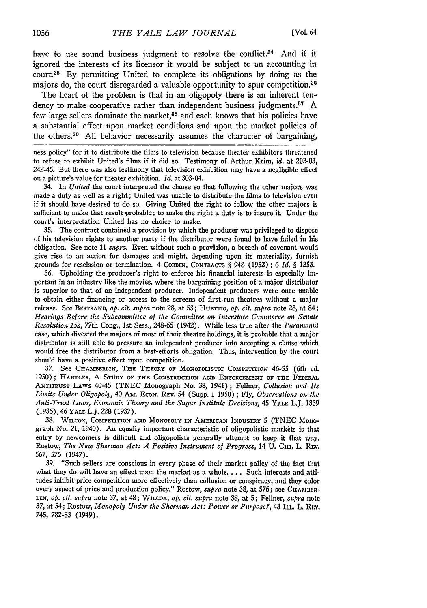have to use sound business judgment to resolve the conflict. $34$  And if it ignored the interests of its licensor it would be subject to an accounting in court.<sup>35</sup> By permitting United to complete its obligations by doing as the majors do, the court disregarded a valuable opportunity to spur competition.30

The heart of the problem is that in an oligopoly there is an inherent tendency to make cooperative rather than independent business judgments.<sup>87</sup> A few large sellers dominate the market,<sup>38</sup> and each knows that his policies have a substantial effect upon market conditions and upon the market policies **of** the others.39 All behavior necessarily assumes the character of bargaining,

ness policy" for it to distribute the films to television because theater exhibitors threatened to refuse to exhibit United's films if it did so. Testimony of Arthur Krim, *id.* at **202-03,** 242-45. But there was also testimony that television exhibition may have a negligible effect on a picture's value for theater exhibition. *Id.* at 303-04.

34. In *United* the court interpreted the clause so that following the other majors was made a duty as well as a right; United was unable to distribute the films to television even if it should have desired to do so. Giving United the right to follow the other majors is sufficient to make that result probable; to make the right a duty is to insure it. Under the court's interpretation United has no choice to make.

35. The contract contained a provision by which the producer was privileged to dispose of his television rights to another party if the distributor were found to have failed in his obligation. See note 11 *supra.* Even without such a provision, a breach of covenant would give rise to an action for damages and might, depending upon its materiality, furnish grounds for rescission or termination. 4 CORBSN, CONTRACTS § 948 (1952) ; *6 Id. §* 1253.

36. Upholding the producer's right to enforce his financial interests is especially important in an industry like the movies, where the bargaining position of a major distributor is superior to that of an independent producer. Independent producers were once unable to obtain either financing or access to the screens of first-run theatres without a major release. See **BERTRAND,** *op. cit. supra* note 28, at 53; **HuETTIG,** *op. cit. supra* note 28, at 84; *Hearings Before the Subcommittee of the Committee on, Interstate Commerce on Senate Resolution 152,* 77th Cong., **1st** Sess., **248-65** (1942). While less true after the *Paramount* case, which divested the majors of most of their theatre holdings, it is probable that a major distributor is still able to pressure an independent producer into accepting a clause which would free the distributor from a best-efforts obligation. Thus, intervention **by** the court should have a positive effect upon competition.

**37.** See **CHAMBERLIN, THE THEORY** OF MONOPOLISTIC COMPETITION 46-55 (6th **ed.** 1950); HANDLER, **A STUDY** OF **THE CONSTRUCTION AND ENFORCEMENT OF THE** FEDERAL **ANTITRUST** LAWS 40-45 (TNEC Monograph No. *38,* 1941); Fellner, *Collusion and Its Limits Under Oligopoly,* 40 **Am. EcON. REV.** 54 (Supp. 1 1950) ; Fly, *Observations on* the *Anti-Trust Laws, Economic Theory and the Sugar Institute Decisions,* 45 YALE L.J. **1339** *(1936),* 46 **YALE** L.J. *228* (1937).

**38.** WILCOX, **COMPETITION AND** MONOPOLY **IN AMERICAN INDUSTRY 5** (TNEC Monograph No. 21, 1940). An equally important characteristic of oligopolistic **markets** is that entry by newcomers is difficult and oligopolists generally attempt to keep it that way. Rostow, *The New Sherman Act: A Positive Instrument of Progress,* 14 **U.** Cin. L. Rix. 567, 576 (1947).

**39.** "Such sellers are conscious in every phase of their market policy of the fact that what they do will have an effect upon the market as a whole.... Such interests and attitudes inhibit price competition more effectively than collusion or conspiracy, and they color every aspect of price and production policy." Rostow, *supra* note 38, at 576; see CHAMBER-**LIN,** *op. cit. supra* note **37,** at 48; WILCOX, *op. cit. supra* note 38, at 5; Fellner, *supra* note **37,** at 54; Rostow, *Monopoly Under the Sherman Act: Power or Purpose?,* 43 **ILL.** L. *RLv.* 745, 782-83 (1949).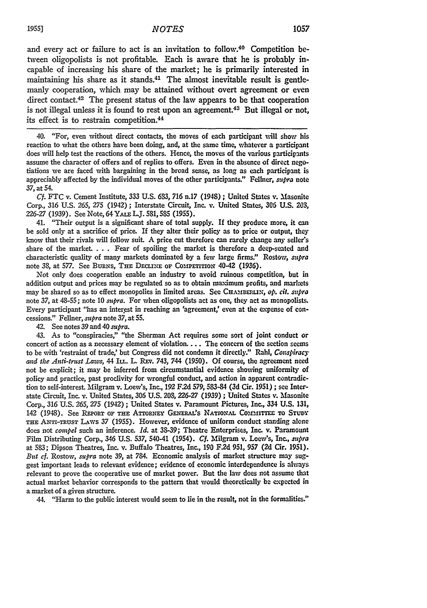and every act or failure to act is an invitation to follow.40 Competition **be**tween oligopolists is not profitable. Each is aware that he is probably incapable of increasing his share of the market; he is primarily interested in maintaining his share as it stands.<sup>41</sup> The almost inevitable result is gentlemanly cooperation, which may be attained without overt agreement or even direct contact.<sup>42</sup> The present status of the law appears to be that cooperation is not illegal unless it is found to rest upon an agreement.<sup>43</sup> But illegal or not, its effect is to restrain competition.<sup>44</sup>

40. "For, even without direct contacts, the moves of each participant will show his reaction to what the others have been doing, and, at the same time, whatever a participant does will help test the reactions of the others. Hence, the moves of the various participants assume the character of offers and of replies to offers. Even in the absence of direct negotiations we are faced with bargaining in the broad sense, as long as each participant is appreciably affected **by** the individual moves of the other participants." Fellner, *supra* note *37,* at 54.

*Cf.* FTC v. Cement Institute, 333 U.S. **633, 716** n.17 (194S) ; United States **v.** Masonite Corp., 316 U.S. 265, 275 (1942) ; Interstate Circuit, Inc. v. United States, 306 U.S. 203, 226-27 (1939). See Note, 64 YALE L.J. 581, 585 (1955).

41. "Their output is a significant share of total supply. If they produce more, it can be sold only at a sacrifice of price. If they alter their policy as to price or output, they know that their rivals will follow suit. **A** price cut therefore can rarely **change** any seller's share of the market **. . .** Fear of spoiling the market is therefore a deep-seated and characteristic quality of many markets dominated **by** a few large firms." Rostow, *supra* note 38, at 577. See BURNS, THE DECLINE OF COMPETITION 40-42 (1936).

Not only does cooperation enable an industry to avoid ruinous competition, but in addition output and prices may **he** regulated so as to obtain maximum profits, and markets may be shared so as to effect monopolies in limited areas. See CHAMBERLIN, op. *cit. supra* note 37, at 48-55; note 10 *supra*. For when oligopolists act as one, they act as monopolists. Every participant "has an interest in reaching an 'agreement,' even at the expense of concessions." Feliner, *supra* note **37,** at **55.**

42. See notes **39** and 40 *supra.*

43. As to "conspiracies," "the Sherman Act requires some sort of joint conduct or concert of action as a necessary element of violation.... The concern of the section **seems** to be with 'restraint of trade,' but Congress did not condemn it directly." Rahl, *Conspiracy* and the Anti-trust Laws, 44 Itt. L. REv. 743, 744 (1950). Of course, the agreement need not be explicit; it may be inferred from circumstantial evidence showing uniformity of policy and practice, past proclivity for wrongful conduct, and action in apparent contradiction to self-interest. Milgram v. Loew's, Inc., 192 **F2d 579,** 583-84 **(3d** Cir. 1951) ; see Interstate Circuit, Inc. v. United States, **306** U.S. 20S, **226-27** (1939) ; United States **v.** Masonite Corp., *316* U.S. 265, **275** (1942) ; United States v. Paramount Pictures, Inc., 334 U.S. 131, 142 (1948). See REPORT OF THE ATTORNEY GENERAL'S NATIONAL COMMITTEE TO STUDY **THE** ANxr-rauSv LAws **37** (1955). However, evidence of uniform conduct standing alone does not *compel* such an inference. *Id.* at **38-39;** Theatre Enterprises, Inc. v. Paramount Film Distributing Corp., 346 U.S. **537,** 540-41 (1954). **Cf.** Milgram v. Loew's, Inc., *mspra* at 583; Dipson Theatres, Inc. v. Buffalo Theatres, Inc., 190 F.2d 951, 957 (2d Cir. 1951). *But cf.* Rostow, *supra* note **39,** at 784. Economic analysis of market structure may suggest important leads to relevant evidence; evidence of economic interdependence is always relevant to prove the cooperative use of market power. But the law does not assume that actual market behavior corresponds to the pattern that would theoretically be expected in a market of a given structure.

44. "Harm to the public interest would seem to lie in the result, not in the formalities."